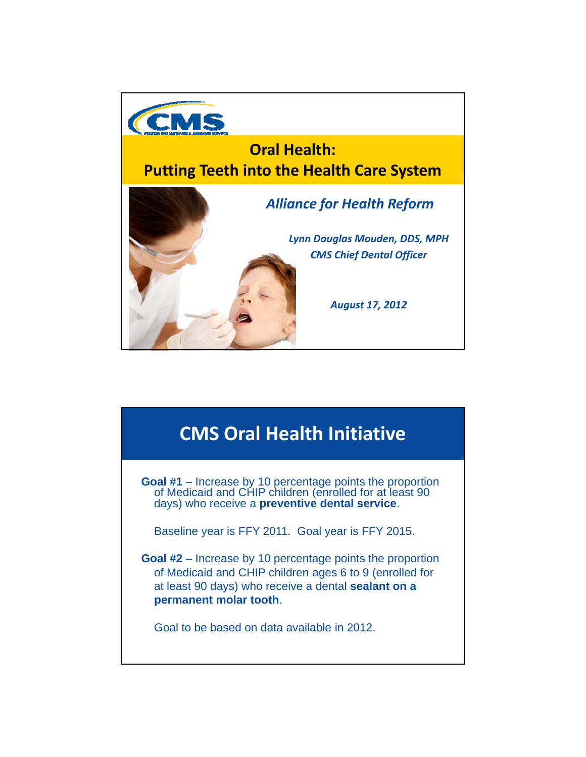

#### **CMS Oral Health Initiative**

**Goal #1** – Increase by 10 percentage points the proportion of Medicaid and CHIP children (enrolled for at least 90 days) who receive a **preventive dental service**.

Baseline year is FFY 2011. Goal year is FFY 2015.

**Goal #2** – Increase by 10 percentage points the proportion of Medicaid and CHIP children ages 6 to 9 (enrolled for at least 90 days) who receive a dental **sealant on a permanent molar tooth**.

Goal to be based on data available in 2012.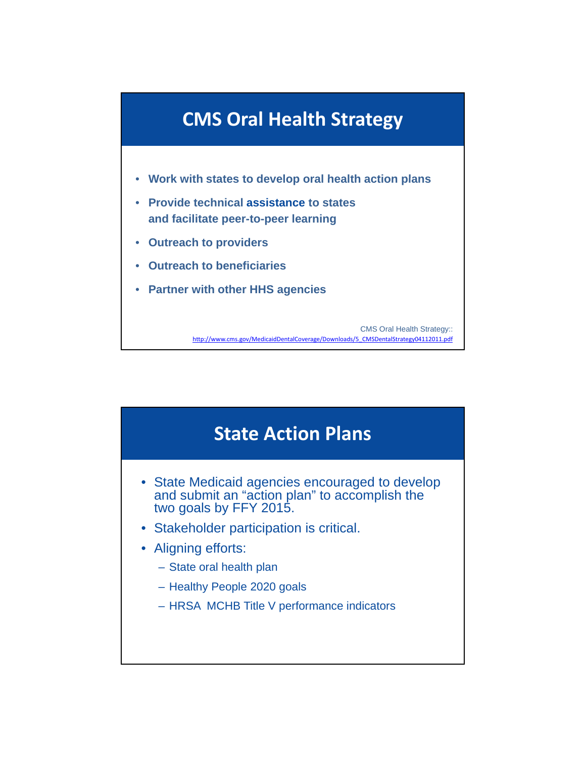

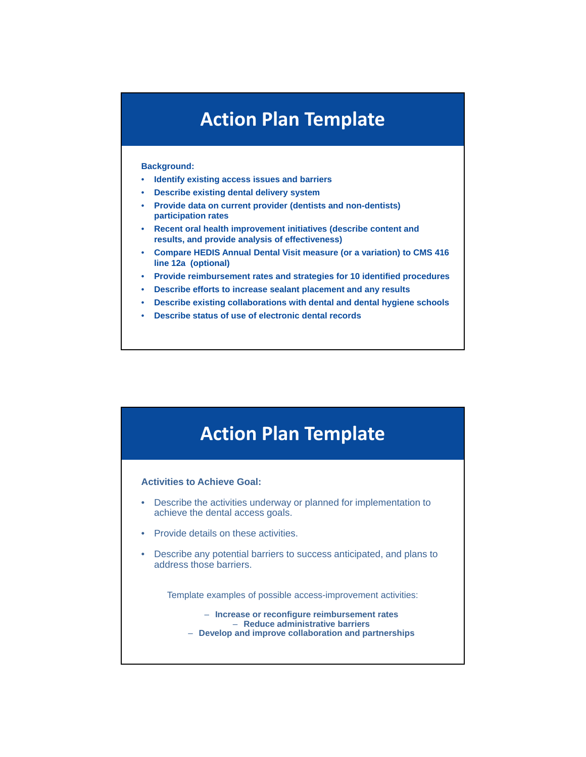## **Action Plan Template**

#### **Background:**

- **Identify existing access issues and barriers Identify existing access issues and**
- **Describe existing dental delivery system**
- **Provide data on current provider (dentists and non-dentists) participation rates**
- **Recent oral health improvement initiatives (describe content and results, and provide analysis of effectiveness)**
- **Compare HEDIS Annual Dental Visit measure (or a variation) to CMS 416 line 12a (optional) line 12a**
- **Provide reimbursement rates and strategies for 10 identified procedures**
- **Describe efforts to increase sealant placement and any results**
- **Describe existing collaborations with dental and dental hygiene schools**
- **Describe status of use of electronic dental records**

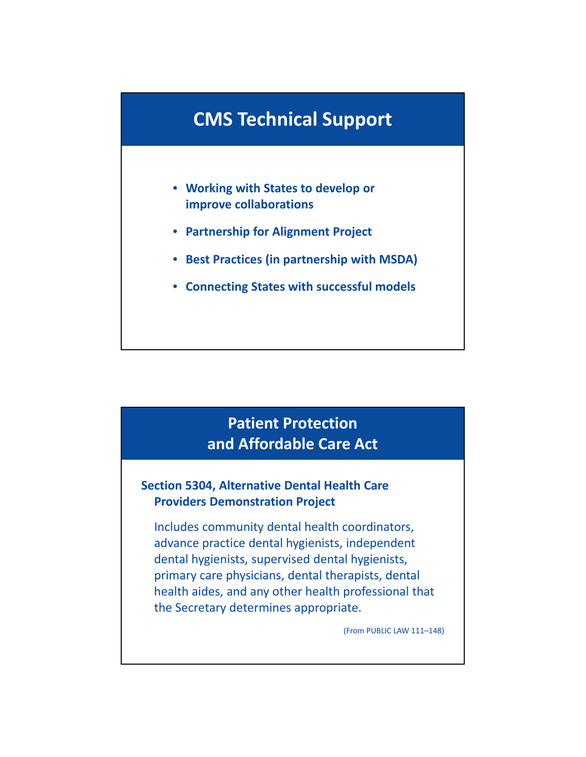### **CMS Technical Support**

- **Working with States to develop or improve collaborations**
- **Partnership for Alignment Project**
- Best Practices (in partnership with MSDA)
- **Connecting States with successful models**

#### **Patient Protection and Affordable Care Act**

#### **Section 5304, Alternative Dental Health Care Providers Demonstration Project**

Includes community dental health coordinators, advance practice dental hygienists, independent dental hygienists, supervised dental hygienists, primary care physicians, dental therapists, dental health aides, and any other health professional that the Secretary determines appropriate.

(From PUBLIC LAW 111–148)